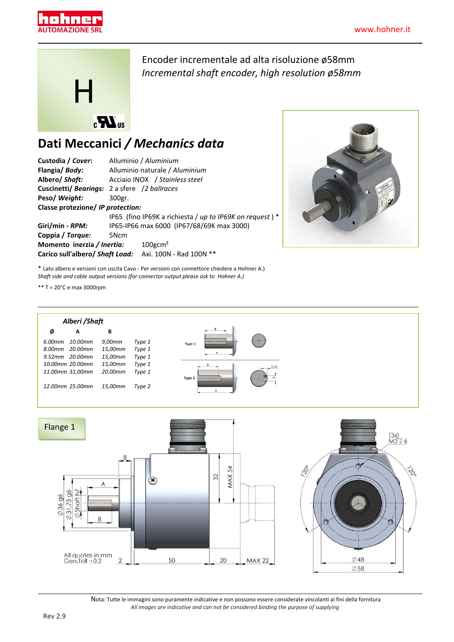



Encoder incrementale ad alta risoluzione ø58mm *Incremental shaft encoder, high resolution ø58mm*

## **Dati Meccanici** */ Mechanics data*

| Custodia / Cover:                 | Alluminio / Aluminium                                      |  |  |  |  |  |
|-----------------------------------|------------------------------------------------------------|--|--|--|--|--|
| Flangia/Body:                     | Alluminio naturale / Aluminium                             |  |  |  |  |  |
| Albero/ Shaft:                    | Acciaio INOX / Stainless steel                             |  |  |  |  |  |
|                                   | <b>Cuscinetti/ Bearings: 2 a sfere /2 ballraces</b>        |  |  |  |  |  |
| Peso/Weight:                      | 300gr.                                                     |  |  |  |  |  |
| Classe protezione/ IP protection: |                                                            |  |  |  |  |  |
|                                   | IP65 (fino IP69K a richiesta / up to IP69K on request) $*$ |  |  |  |  |  |
| Giri/min - <i>RPM:</i>            | IP65-IP66 max 6000 (IP67/68/69K max 3000)                  |  |  |  |  |  |
| Coppia / Torque:                  | 5Ncm                                                       |  |  |  |  |  |
| Momento inerzia / Inertia:        | $100$ gcm <sup>2</sup>                                     |  |  |  |  |  |
|                                   | Carico sull'albero/ Shaft Load: Axi. 100N - Rad 100N **    |  |  |  |  |  |



\* Lato albero e versioni con uscita Cavo - Per versioni con connettore chiedere a Hohner A.) *Shaft side and cable output versions (for connector output please ask to Hohner A.)*

\*\* T = 20°C e max 3000rpm





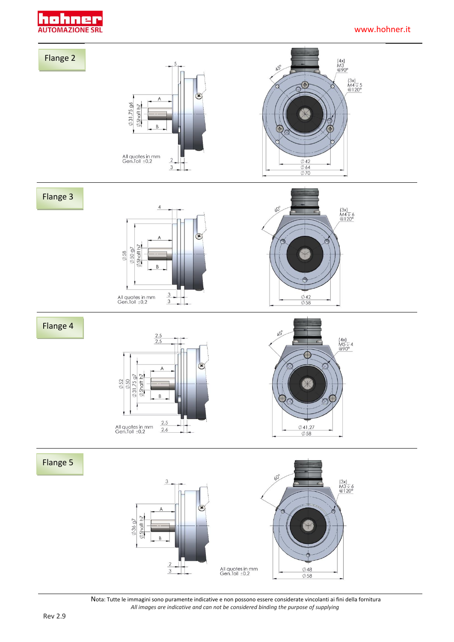

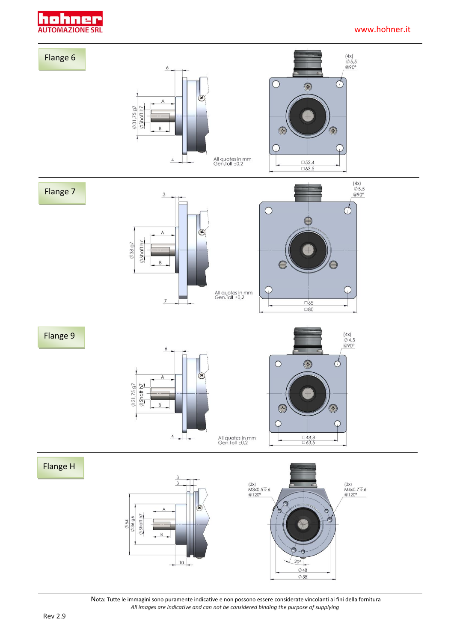

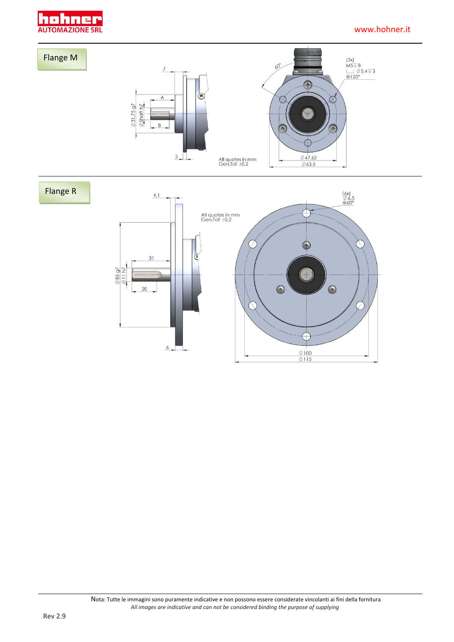